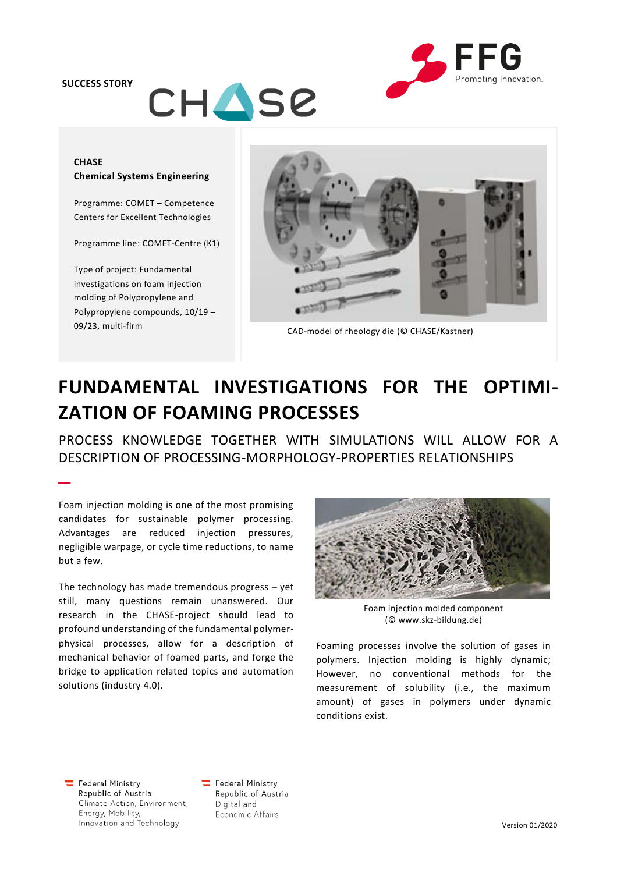**SUCCESS STORY**

–



## **CHASE Chemical Systems Engineering**

CHASE

Programme: COMET – Competence Centers for Excellent Technologies

Programme line: COMET-Centre (K1)

Type of project: Fundamental investigations on foam injection molding of Polypropylene and Polypropylene compounds, 10/19 –



09/23, multi-firm CAD-model of rheology die (© CHASE/Kastner)

# **FUNDAMENTAL INVESTIGATIONS FOR THE OPTIMI-ZATION OF FOAMING PROCESSES**

PROCESS KNOWLEDGE TOGETHER WITH SIMULATIONS WILL ALLOW FOR A DESCRIPTION OF PROCESSING-MORPHOLOGY-PROPERTIES RELATIONSHIPS

Foam injection molding is one of the most promising candidates for sustainable polymer processing. Advantages are reduced injection pressures, negligible warpage, or cycle time reductions, to name but a few.

The technology has made tremendous progress – yet still, many questions remain unanswered. Our research in the CHASE-project should lead to profound understanding of the fundamental polymerphysical processes, allow for a description of mechanical behavior of foamed parts, and forge the bridge to application related topics and automation solutions (industry 4.0).



Foam injection molded component (© www.skz-bildung.de)

Foaming processes involve the solution of gases in polymers. Injection molding is highly dynamic; However, no conventional methods for the measurement of solubility (i.e., the maximum amount) of gases in polymers under dynamic conditions exist.

Federal Ministry Republic of Austria Climate Action, Environment, Energy, Mobility, Innovation and Technology

Federal Ministry Republic of Austria Digital and Economic Affairs